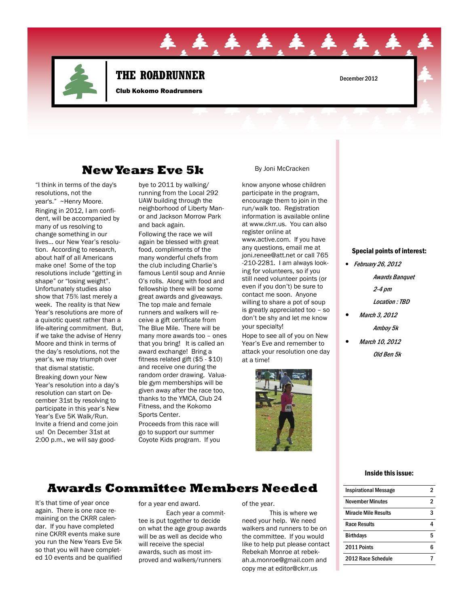

# THE ROADRUNNER December 2012

**44** 

Club Kokomo Roadrunners

### New Years Eve 5k

"I think in terms of the day's resolutions, not the year's." ~Henry Moore.

Ringing in 2012, I am confident, will be accompanied by many of us resolving to change something in our lives… our New Year's resolution. According to research, about half of all Americans make one! Some of the top resolutions include "getting in shape" or "losing weight". Unfortunately studies also show that 75% last merely a week. The reality is that New Year's resolutions are more of a quixotic quest rather than a life-altering commitment. But, if we take the advise of Henry Moore and think in terms of the day's resolutions, not the year's, we may triumph over that dismal statistic.

Breaking down your New Year's resolution into a day's resolution can start on December 31st by resolving to participate in this year's New Year's Eve 5K Walk/Run. Invite a friend and come join us! On December 31st at 2:00 p.m., we will say goodbye to 2011 by walking/ running from the Local 292 UAW building through the neighborhood of Liberty Manor and Jackson Morrow Park and back again.

Following the race we will again be blessed with great food, compliments of the many wonderful chefs from the club including Charlie's famous Lentil soup and Annie O's rolls. Along with food and fellowship there will be some great awards and giveaways. The top male and female runners and walkers will receive a gift certificate from The Blue Mile. There will be many more awards too – ones that you bring! It is called an award exchange! Bring a fitness related gift (\$5 - \$10) and receive one during the random order drawing. Valuable gym memberships will be given away after the race too, thanks to the YMCA, Club 24 Fitness, and the Kokomo Sports Center. Proceeds from this race will

go to support our summer Coyote Kids program. If you

#### By Joni McCracken

know anyone whose children participate in the program, encourage them to join in the run/walk too. Registration information is available online at www.ckrr.us. You can also register online at

www.active.com. If you have any questions, email me at joni.renee@att.net or call 765 -210-2281. I am always looking for volunteers, so if you still need volunteer points (or even if you don't) be sure to contact me soon. Anyone willing to share a pot of soup is greatly appreciated too – so don't be shy and let me know your specialty!

Hope to see all of you on New Year's Eve and remember to attack your resolution one day at a time!



#### Special points of interest:

- February 26, 2012
	- Awards Banquet
		- 2-4 pm
	- Location : TBD
	- March 3, 2012
		- Amboy 5k
- March 10, 2012
	- Old Ben 5k

#### Inside this issue:

# Awards Committee Members Needed

It's that time of year once again. There is one race remaining on the CKRR calendar. If you have completed nine CKRR events make sure you run the New Years Eve 5k so that you will have completed 10 events and be qualified for a year end award.

 Each year a committee is put together to decide on what the age group awards will be as well as decide who will receive the special awards, such as most improved and walkers/runners

#### of the year.

 This is where we need your help. We need walkers and runners to be on the committee. If you would like to help put please contact Rebekah Monroe at rebekah.a.monroe@gmail.com and copy me at editor@ckrr.us

| <b>Inspirational Message</b> |   |
|------------------------------|---|
| November Minutes             | 2 |
| Miracle Mile Results         | ર |
| <b>Race Results</b>          |   |
| <b>Birthdays</b>             | 5 |
| 2011 Points                  |   |
| 2012 Race Schedule           |   |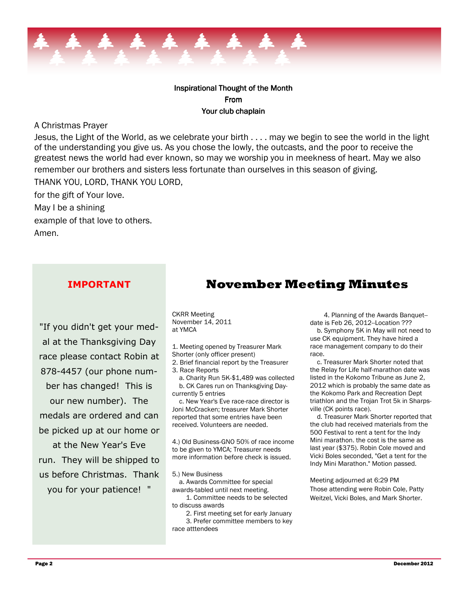

### Inspirational Thought of the Month From Your club chaplain

#### A Christmas Prayer

Jesus, the Light of the World, as we celebrate your birth . . . . may we begin to see the world in the light of the understanding you give us. As you chose the lowly, the outcasts, and the poor to receive the greatest news the world had ever known, so may we worship you in meekness of heart. May we also remember our brothers and sisters less fortunate than ourselves in this season of giving.

THANK YOU, LORD, THANK YOU LORD, for the gift of Your love. May I be a shining example of that love to others.

Amen.

### IMPORTANT

"If you didn't get your medal at the Thanksgiving Day race please contact Robin at 878-4457 (our phone number has changed! This is our new number). The medals are ordered and can be picked up at our home or at the New Year's Eve run. They will be shipped to us before Christmas. Thank

you for your patience! "

## November Meeting Minutes

CKRR Meeting November 14, 2011 at YMCA

1. Meeting opened by Treasurer Mark

Shorter (only officer present)

2. Brief financial report by the Treasurer 3. Race Reports

 a. Charity Run 5K-\$1,489 was collected b. CK Cares run on Thanksgiving Daycurrently 5 entries

 c. New Year's Eve race-race director is Joni McCracken; treasurer Mark Shorter reported that some entries have been received. Volunteers are needed.

4.) Old Business-GNO 50% of race income to be given to YMCA; Treasurer needs more information before check is issued.

5.) New Business

 a. Awards Committee for special awards-tabled until next meeting.

 1. Committee needs to be selected to discuss awards

 2. First meeting set for early January 3. Prefer committee members to key race atttendees

 4. Planning of the Awards Banquet- date is Feb 26, 2012--Location ???

 b. Symphony 5K in May will not need to use CK equipment. They have hired a race management company to do their race.

 c. Treasurer Mark Shorter noted that the Relay for Life half-marathon date was listed in the Kokomo Tribune as June 2, 2012 which is probably the same date as the Kokomo Park and Recreation Dept triathlon and the Trojan Trot 5k in Sharpsville (CK points race).

 d. Treasurer Mark Shorter reported that the club had received materials from the 500 Festival to rent a tent for the Indy Mini marathon. the cost is the same as last year (\$375). Robin Cole moved and Vicki Boles seconded, "Get a tent for the Indy Mini Marathon." Motion passed.

Meeting adjourned at 6:29 PM Those attending were Robin Cole, Patty Weitzel, Vicki Boles, and Mark Shorter.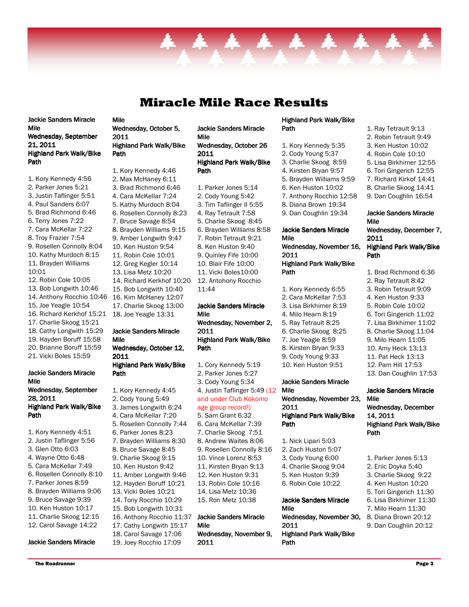# Miracle Mile Race Results

\* \* \* \* \* \* \*

Jackie Sanders Miracle Mile Wednesday, September 21, 2011 Highland Park Walk/Bike Path

- 1. Kory Kennedy 4:56
- 2. Parker Jones 5:21 3. Justin Taflinger 5:51
- 4. Paul Sanders 6:07
- 5. Brad Richmond 6:46
- 6. Terry Jones 7:22
- 7. Cara McKellar 7:22
- 8. Troy Frazier 7:54
- 9. Rosellen Connolly 8:04
- 10. Kathy Murdoch 8:15
- 11. Brayden Williams
- 10:01
- 12. Robin Cole 10:05
- 13. Bob Longwith 10:46
- 14. Anthony Rocchio 10:46
- 15. Joe Yeagle 10:54
- 16. Richard Kerkhof 15:21
- 17. Charlie Skoog 15:21
- 18. Cathy Longwith 15:29
- 19. Hayden Boruff 15:58 20. Brianne Boruff 15:59
- 21. Vicki Boles 15:59
- 

#### Jackie Sanders Miracle Mile Wednesday, September 28, 2011

#### Highland Park Walk/Bike Path

- 1. Kory Kennedy 4:51
- 2. Justin Taflinger 5:56
- 3. Glen Otto 6:03
- 4. Wayne Otto 6:48
- 5. Cara McKellar 7:49
- 6. Rosellen Connolly 8:10
- 7. Parker Jones 8:59
- 8. Brayden Williams 9:06
- 9. Bruce Savage 9:39
- 10. Ken Huston 10:17
- 11. Charlie Skoog 12:15
- 12. Carol Savage 14:22

#### Jackie Sanders Miracle

#### Mile Wednesday, October 5, 2011 Highland Park Walk/Bike Path

1. Kory Kennedy 4:46 2. Max McHaney 6:11 3. Brad Richmond 6:46 4. Cara McKellar 7:24 5. Kathy Murdoch 8:04 6. Rosellen Connolly 8:23 7. Bruce Savage 8:54 8. Brayden Williams 9:15 9. Amber Longwith 9:47 10. Ken Huston 9:54 11. Robin Cole 10:01 12. Greg Kegler 10:14 13. Lisa Metz 10:20 14. Richard Kerkhof 10:20 15. Bob Longwith 10:40 16. Kim McHaney 12:07 17. Charlie Skoog 13:00 18. Joe Yeagle 13:31

#### Jackie Sanders Miracle Mile Wednesday, October 12,

2011 Highland Park Walk/Bike Path

1. Kory Kennedy 4:45 2. Cody Young 5:49 3. James Longwith 6:24 4. Cara McKellar 7:20 5. Rosellen Connolly 7:44 6. Parker Jones 8:23 7. Brayden Williams 8:30 8. Bruce Savage 8:45 9. Charlie Skoog 9:15 10. Ken Huston 9:42 11. Amber Longwith 9:46 12. Hayden Boruff 10:21 13. Vicki Boles 10:21 14. Tony Rocchio 10:29 15. Bob Longwith 10:31 16. Anthony Rocchio 11:37 17. Cathy Longwith 15:17 18. Carol Savage 17:06

19. Joey Rocchio 17:09

- Jackie Sanders Miracle Mile Wednesday, October 26 2011 Highland Park Walk/Bike Path
	- 1. Parker Jones 5:14 2. Cody Young 5:42 3. Tim Taflinger II 5:55 4. Ray Tetrault 7:58 5. Charlie Skoog 8:45 6. Brayden Williams 8:58 7. Robin Tetrault 9:21 8. Ken Huston 9:40 9. Quinley Fife 10:00 10. Blair Fife 10:00 11. Vicki Boles10:00 12. Antohony Rocchio 11:44 Jackie Sanders Miracle

#### Mile Wednesday, November 2, 2011 Highland Park Walk/Bike Path

1. Cory Kennedy 5:19 2. Parker Jones 5:27 3. Cody Young 5:34 4. Justin Taflinger 5:49 (12 and under Club Kokomo age group record!) 5. Sam Grant 6:32 6. Cara McKellar 7:39 7. Charlie Skoog 7:51 8. Andrew Waites 8:06 9. Rosellen Connolly 8:16 10. Vince Lorenz 8:53 11. Kirsten Bryan 9:13 12. Ken Huston 9:31 13. Robin Cole 10:16

- 14. Lisa Metz 10:36 15. Ron Metz 10:38
- 

#### Jackie Sanders Miracle Mile

Wednesday, November 9, 2011

#### Highland Park Walk/Bike Path

1. Kory Kennedy 5:35 2. Cody Young 5:37 3. Charlie Skoog 8:59 4. Kirsten Bryan 9:57 5. Brayden Williams 9:59 6. Ken Huston 10:02 7. Anthony Rocchio 12:58 8. Diana Brown 19:34 9. Dan Coughlin 19:34

#### Jackie Sanders Miracle Mile

#### Wednesday, November 16, 2011 Highland Park Walk/Bike

- Path 1. Kory Kennedy 6:55 2. Cara McKellar 7:53
- 3. Lisa Birkhimer 8:19
- 4. Milo Hearn 8:19
- 5. Ray Tetrault 8:25
- 6. Charlie Skoog 8:25
- 7. Joe Yeagle 8:59
- 8. Kirsten Bryan 9:33
- 9. Cody Young 9:33
- 10. Ken Huston 9:51

#### Jackie Sanders Miracle Mile

Wednesday, November 23, 2011 Highland Park Walk/Bike Path

- 1. Nick Lipari 5:03 2. Zach Huston 5:07
- 3. Cody Young 6:00
- 4. Charlie Skoog 9:04
- 5. Ken Huston 9:39
- 6. Robin Cole 10:22

### Jackie Sanders Miracle Mile Wednesday, November 30, 2011

Highland Park Walk/Bike Path

- 1. Ray Tetrault 9:13
- 2. Robin Tetrault 9:49
- 3. Ken Huston 10:02
- 4. Robin Cole 10:10
- 5. Lisa Birkhimer 12:55
- 6. Tori Gingerich 12:55
- 7. Richard Kirkof 14:41
- 8. Charlie Skoog 14:41
- 9. Dan Coughlin 16:54

#### Jackie Sanders Miracle Mile

Wednesday, December 7, 2011 Highland Park Walk/Bike

# **Path**

- 1. Brad Richmond 6:36
- 2. Ray Tetrault 8:42
- 3. Robin Tetrault 9:09
- 4. Ken Huston 9:33
- 5. Robin Cole 10:02
- 6. Tori Gingerich 11:02
- 7. Lisa Birkhimer 11:02
- 8. Charlie Skoog 11:04
- 9. Milo Hearn 11:05
- 10. Amy Heck 13:13
- 11. Pat Heck 13:13
- 12. Pam Hill 17:53
- 13. Dan Coughlin 17:53

#### Jackie Sanders Miracle Mile Wednesday, December 14, 2011 Highland Park Walk/Bike

1. Parker Jones 5:13 2. Eriic Doyka 5:40 3. Charlie Skoog 9:22 4. Ken Huston 10:20 5. Tori Gingerich 11:30 6. Lisa Birkhimer 11:30 7. Milo Hearn 11:30 8. Diana Brown 20:12 9. Dan Coughlin 20:12

Path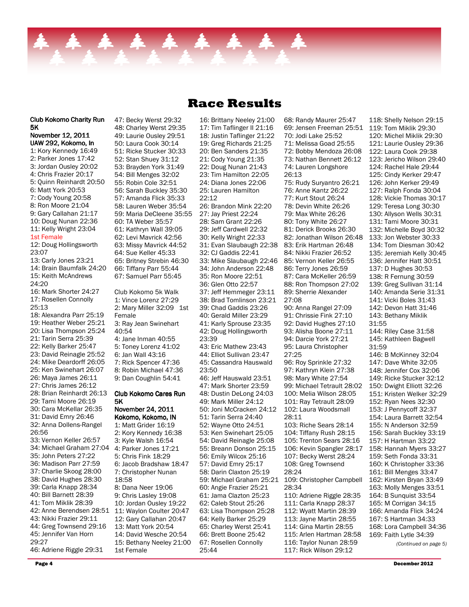

November 12, 2011 UAW 292, Kokomo, In 1: Kory Kennedy 16:49 2: Parker Jones 17:42 3: Jordan Ousley 20:02 4: Chris Frazier 20:17 5: Quinn Reinhardt 20:50 6: Matt York 20:53 7: Cody Young 20:58 8: Ron Moore 21:04 9: Gary Callahan 21:17 10: Doug Nunan 22:36 11: Kelly Wright 23:04 1st Female 12: Doug Hollingsworth 23:07 13: Carly Jones 23:21 14: Brain Baumfalk 24:20 15: Keith McAndrews 24:20 16: Mark Shorter 24:27 17: Rosellen Connolly 25:13 18: Alexandra Parr 25:19 19: Heather Weber 25:21 20: Lisa Thompson 25:24 21: Tarin Serra 25:39 22: Kelly Barker 25:47 23: David Reinagle 25:52 24: Mike Deardorff 26:05 25: Ken Swinehart 26:07 26: Maya James 26:11 27: Chris James 26:12 28: Brian Reinhardt 26:13 29: Tami Moore 26:19 30: Cara McKellar 26:35 31: David Emry 26:46 32: Anna Dollens-Rangel 26:56 33: Vernon Keller 26:57 34: Michael Graham 27:04 4: Parker Jones 17:21 35: John Peters 27:22 36: Madison Parr 27:59 37: Charlie Skoog 28:00 38: David Hughes 28:30 39: Carla Knapp 28:34 40: Bill Barnett 28:39 41: Tom Miklik 28:39 42: Anne Berendsen 28:51 43: Nikki Frazier 29:11 44: Greg Townsend 29:16 45: Jennifer Van Horn 29:27 46: Adriene Riggle 29:31

Club Kokomo Charity Run

5K

48: Charley Werst 29:35 49: Laurie Ousley 29:51 50: Laura Cook 30:14 51: Ricke Stucker 30:33 52: Stan Shuey 31:12 53: Brayden York 31:49 54: Bill Menges 32:02 55: Robin Cole 32:51 56: Sarah Buckley 35:30 57: Amanda Flick 35:33 58: Lauren Weber 35:54 59: Maria DeCleene 35:55 60: TA Weber 35:57 61: Kathryn Wall 39:05 62: Levi Mavrick 42:56 63: Missy Mavrick 44:52 64: Sue Keller 45:33 65: Britney Strebin 46:30 66: Tiffany Parr 55:44 67: Samuel Parr 55:45 Club Kokomo 5k Walk 1: Vince Lorenz 27:29 2: Mary Miller 32:09 1st Female 3: Ray Jean Swinehart 40:54 4: Jane Inman 40:55 5: Toney Lorenz 41:02 6: Jan Wall 43:16 7: Rick Spencer 47:36 8: Robin Michael 47:36 9: Dan Coughlin 54:41 Club Kokomo Cares Run 5K November 24, 2011 Kokomo, Kokomo, IN 1: Matt Grider 16:19 2: Kory Kennedy 16:38 3: Kyle Walsh 16:54 5: Chris Fink 18:29 6: Jacob Bradshaw 18:47 7: Christopher Nunan 18:58 8: Dana Neer 19:06 9: Chris Lasley 19:08 10: Jordan Ousley 19:22 11: Waylon Coulter 20:47 12: Gary Callahan 20:47 13: Matt York 20:54 14: David Wesche 20:54 15: Bethany Neeley 21:00

47: Becky Werst 29:32

16: Brittany Neeley 21:00 17: Tim Taflinger II 21:16 18: Justin Taflinger 21:22 19: Greg Richards 21:25 20: Ben Sanders 21:35 21: Cody Young 21:35 22: Doug Nunan 21:43 23: Tim Hamilton 22:05 24: Diana Jones 22:06 25: Lauren Hamilton 22:12 26: Brandon Mink 22:20 27: Jay Priest 22:24 28: Sam Grant 22:26 29: Jeff Cardwell 22:32 30: Kelly Wright 22:33 31: Evan Slaubaugh 22:38 32: CJ Gaddis 22:41 33: Mike Slaubaugh 22:46 34: John Anderson 22:48 35: Ron Moore 22:51 36: Glen Otto 22:57 37: Jeff Hemmeger 23:11 38: Brad Tomlinson 23:21 39: Chad Gaddis 23:26 40: Gerald Miller 23:29 41: Karly Sprouse 23:35 42: Doug Hollingsworth 23:39 43: Eric Mathew 23:43 44: Elliot Sullivan 23:47 45: Cassandra Hauswald 23:50 46: Jeff Hauswald 23:51 47: Mark Shorter 23:59 48: Dustin DeLong 24:03 49: Mark Miller 24:12 50: Joni McCracken 24:12 51: Tarin Serra 24:40 52: Wayne Otto 24:51 53: Ken Swinehart 25:05 54: David Reinagle 25:08 55: Breann Donson 25:15 56: Emily Wilcox 25:16 57: David Emry 25:17 58: Darin Claxton 25:19 60: Angie Frazier 25:21 61: Jama Clazton 25:23 62: Caleb Stout 25:26 63: Lisa Thompson 25:28 64: Kelly Barker 25:29 65: Charley Werst 25:41 66: Brett Boone 25:42 67: Rosellen Connolly 25:44

59: Michael Graham 25:21 109: Christopher Campbell 68: Randy Maurer 25:47 69: Jensen Freeman 25:51 70: Jodi Lake 25:52 71: Melissa Goad 25:55 72: Bobby Mendoza 26:08 73: Nathan Bennett 26:12 74: Lauren Longshore 26:13 75: Rudy Suryantro 26:21 76: Anne Kantz 26:22 77: Kurt Stout 26:24 78: Devin White 26:26 79: Max White 26:26 80: Tony White 26:27 81: Derick Brooks 26:30 82: Jonathan Wilson 26:48 83: Erik Hartman 26:48 84: Nikki Frazier 26:52 85: Vernon Keller 26:55 86: Terry Jones 26:59 87: Cara McKeller 26:59 88: Ron Thompson 27:02 89: Sherrie Alexander 27:08 90: Anna Rangel 27:09 91: Chrissie Fink 27:10 92: David Hughes 27:10 93: Alisha Boone 27:11 94: Darcie York 27:21 95: Laura Christopher 27:25 96: Roy Sprinkle 27:32 97: Kathryn Klein 27:38 98: Mary White 27:54 99: Michael Tetrault 28:02 100: Melia Wilson 28:05 101: Ray Tetrault 28:09 102: Laura Woodsmall 28:11 103: Riche Sears 28:14 104: Tiffany Rush 28:15 105: Trenton Sears 28:16 106: Kevin Spangler 28:17 107: Becky Werst 28:24 108: Greg Townsend 28:24 28:34 110: Adriene Riggle 28:35 111: Carla Knapp 28:37 112: Wyatt Martin 28:39 113: Jayne Martin 28:55 114: Gina Martin 28:55 115: Arlen Hartman 28:58 116: Taylor Nunan 28:59 117: Rick Wilson 29:12

118: Shelly Nelson 29:15 119: Tom Miklik 29:30 120: Michel Miklik 29:30 121: Laurie Ousley 29:36 122: Laura Cook 29:38 123: Jericho Wilson 29:40 124: Rachel Hale 29:44 125: Cindy Kerker 29:47 126: John Kerker 29:49 127: Ralph Fonda 30:04 128: Vickie Thomas 30:17 129: Teresa Long 30:30 130: Allyson Wells 30:31 131: Tami Moore 30:31 132: Michelle Boyd 30:32 133: Jon Webster 30:33 134: Tom Diesman 30:42 135: Jeremiah Kelly 30:45 136: Jennifer Hatt 30:51 137: D Hughes 30:53 138: R Fernung 30:59 139: Greg Sullivan 31:14 140: Amanda Serie 31:31 141: Vicki Boles 31:43 142: Devon Hatt 31:46 143: Bethany Miklik 31:55 144: Riley Case 31:58 145: Kathleen Bagwell 31:59 146: B McKinney 32:04 147: Dave White 32:05 148: Jennifer Cox 32:06 149: Ricke Stucker 32:12 150: Dwight Elliott 32:26 151: Kristen Welker 32:29 152: Ryan Nees 32:30 153: J Pennycoff 32:37 154: Laura Barrett 32:54 155: N Anderson 32:59 156: Sarah Buckley 33:19 157: H Hartman 33:22 158: Hannah Myers 33:27 159: Seth Fonda 33:31 160: K Christopher 33:36 161: Bill Menges 33:47 162: Kirsten Bryan 33:49 163: Molly Menges 33:51 164: B Sunquist 33:54 165: M Corrigan 34:15 166: Amanda Flick 34:24 167: S Hartman 34:33 168: Lora Campbell 34:36 169: Faith Lytle 34:39 (Continued on page 5)

1st Female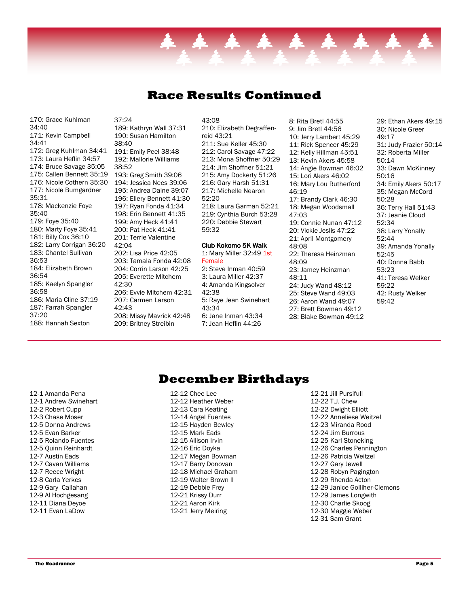### Race Results Continued

170: Grace Kuhlman 34:40 171: Kevin Campbell 34:41 172: Greg Kuhlman 34:41 173: Laura Heflin 34:57 174: Bruce Savage 35:05 175: Callen Bennett 35:19 176: Nicole Cothern 35:30 177: Nicole Bumgardner 35:31 178: Mackenzie Foye 35:40 179: Foye 35:40 180: Marty Foye 35:41 181: Billy Cox 36:10 182: Larry Corrigan 36:20 183: Chantel Sullivan 36:53 184: Elizabeth Brown 36:54 185: Kaelyn Spangler 36:58 186: Maria Cline 37:19 187: Farrah Spangler 37:20 188: Hannah Sexton

37:24 189: Kathryn Wall 37:31 190: Susan Hamilton 38:40 191: Emily Peel 38:48 192: Mallorie Williams 38:52 193: Greg Smith 39:06 194: Jessica Nees 39:06 195: Andrea Daine 39:07 196: Ellery Bennett 41:30 197: Ryan Fonda 41:34 198: Erin Bennett 41:35 199: Amy Heck 41:41 200: Pat Heck 41:41 201: Terrie Valentine 42:04 202: Lisa Price 42:05 203: Tamala Fonda 42:08 204: Corrin Larson 42:25 205: Everette Mitchem 42:30 206: Evvie Mitchem 42:31 207: Carmen Larson 42:43 208: Missy Mavrick 42:48 209: Britney Streibin

43:08 210: Elizabeth Degraffenreid 43:21 211: Sue Keller 45:30 212: Carol Savage 47:22 213: Mona Shoffner 50:29 214: Jim Shoffner 51:21 215: Amy Dockerty 51:26 216: Gary Harsh 51:31 217: Michelle Nearon 52:20 218: Laura Garman 52:21 219: Cynthia Burch 53:28 220: Debbie Stewart 59:32

#### Club Kokomo 5K Walk 1: Mary Miller 32:49 1st

#### Female

2: Steve Inman 40:59 3: Laura Miller 42:37 4: Amanda Kingsolver 42:38 5: Raye Jean Swinehart 43:34 6: Jane Inman 43:34 7: Jean Heflin 44:26

8: Rita Bretl 44:55 9: Jim Bretl 44:56 10: Jerry Lambert 45:29 11: Rick Spencer 45:29 12: Kelly Hillman 45:51 13: Kevin Akers 45:58 14: Angie Bowman 46:02 15: Lori Akers 46:02 16: Mary Lou Rutherford  $46.19$ 17: Brandy Clark 46:30 18: Megan Woodsmall 47:03 19: Connie Nunan 47:12 20: Vickie Jeslis 47:22 21: April Montgomery 48:08 22: Theresa Heinzman 48:09 23: Jamey Heinzman 48:11 24: Judy Wand 48:12 25: Steve Wand 49:03 26: Aaron Wand 49:07 27: Brett Bowman 49:12 28: Blake Bowman 49:12

29: Ethan Akers 49:15 30: Nicole Greer 49:17 31: Judy Frazier 50:14 32: Roberta Miller 50:14 33: Dawn McKinney 50:16 34: Emily Akers 50:17 35: Megan McCord 50:28 36: Terry Hall 51:43 37: Jeanie Cloud 52:34 38: Larry Yonally 52:44 39: Amanda Yonally 52:45 40: Donna Babb 53:23 41: Teresa Welker 59:22 42: Rusty Welker 59:42

### December Birthdays

12-1 Amanda Pena 12-1 Andrew Swinehart 12-2 Robert Cupp 12-3 Chase Moser 12-5 Donna Andrews 12-5 Evan Barker 12-5 Rolando Fuentes 12-5 Quinn Reinhardt 12-7 Austin Eads 12-7 Cavan Williams 12-7 Reece Wright 12-8 Carla Yerkes 12-9 Gary Callahan 12-9 Al Hochgesang 12-11 Diana Deyoe 12-11 Evan LaDow

12-12 Chee Lee 12-12 Heather Weber 12-13 Cara Keating 12-14 Angel Fuentes 12-15 Hayden Bewley 12-15 Mark Eads 12-15 Allison Irvin 12-16 Eric Doyka 12-17 Megan Bowman 12-17 Barry Donovan 12-18 Michael Graham 12-19 Walter Brown II 12-19 Debbie Frey 12-21 Krissy Durr 12-21 Aaron Kirk 12-21 Jerry Meiring

12-21 Jill Pursifull 12-22 T.J. Chew 12-22 Dwight Elliott 12-22 Anneliese Weitzel 12-23 Miranda Rood 12-24 Jim Burrous 12-25 Karl Stoneking 12-26 Charles Pennington 12-26 Patricia Weitzel 12-27 Gary Jewell 12-28 Robyn Pagington 12-29 Rhenda Acton 12-29 Janice Golliher-Clemons 12-29 James Longwith 12-30 Charlie Skoog 12-30 Maggie Weber 12-31 Sam Grant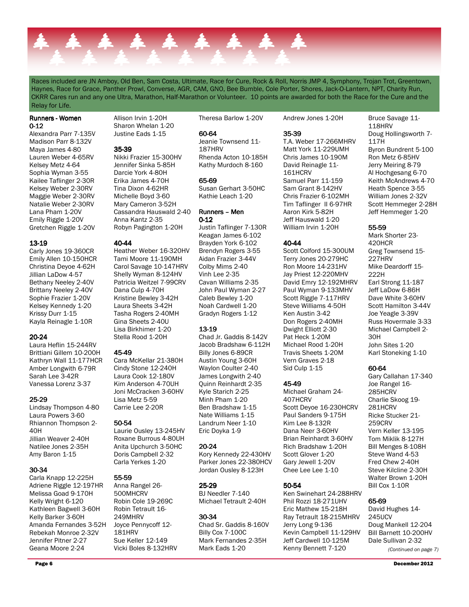

Races included are JN Amboy, Old Ben, Sam Costa, Ultimate, Race for Cure, Rock & Roll, Norris JMP 4, Symphony, Trojan Trot, Greentown, Haynes, Race for Grace, Panther Prowl, Converse, AGR, CAM, GNO, Bee Bumble, Cole Porter, Shores, Jack-O-Lantern, NPT, Charity Run, CKRR Cares run and any one Ultra, Marathon, Half-Marathon or Volunteer. 10 points are awarded for both the Race for the Cure and the Relay for Life.

#### Runners - Women 0-12

Alexandra Parr 7-135V Madison Parr 8-132V Maya James 4-80 Lauren Weber 4-65RV Kelsey Metz 4-64 Sophia Wyman 3-55 Kailee Taflinger 2-30R Kelsey Weber 2-30RV Maggie Weber 2-30RV Natalie Weber 2-30RV Lana Pham 1-20V Emily Riggle 1-20V Gretchen Riggle 1-20V

#### 13-19

Carly Jones 19-360CR Emily Allen 10-150HCR Christina Deyoe 4-62H Jillian LaDow 4-57 Bethany Neeley 2-40V Brittany Neeley 2-40V Sophie Frazier 1-20V Kelsey Kennedy 1-20 Krissy Durr 1-15 Kayla Reinagle 1-10R

#### 20-24

Laura Heflin 15-244RV Brittiani Gillem 10-200H Kathryn Wall 11-177HCR Amber Longwith 6-79R Sarah Lee 3-42R Vanessa Lorenz 3-37

#### 25-29

Lindsay Thompson 4-80 Laura Powers 3-60 Rhiannon Thompson 2- 40H Jillian Weaver 2-40H Natilee Jones 2-35H Amy Baron 1-15

#### 30-34

Carla Knapp 12-225H Adriene Riggle 12-197HR Melissa Goad 9-170H Kelly Wright 6-120 Kathleen Bagwell 3-60H Kelly Barker 3-60H Amanda Fernandes 3-52H Rebekah Monroe 2-32V Jennifer Pitner 2-27 Geana Moore 2-24

Allison Irvin 1-20H Sharon Whelan 1-20 Justine Eads 1-15

#### 35-39

Nikki Frazier 15-300HV Jennifer Sinka 5-85H Darcie York 4-80H Erika James 4-70H Tina Dixon 4-62HR Michelle Boyd 3-60 Mary Cameron 3-52H Cassandra Hauswald 2-40 Anna Kantz 2-35 Robyn Pagington 1-20H

#### 40-44

Heather Weber 16-320HV Tami Moore 11-190MH Carol Savage 10-147HRV Shelly Wyman 8-124HV Patricia Weitzel 7-99CRV Dana Culp 4-70H Kristine Bewley 3-42H Laura Sheets 3-42H Tasha Rogers 2-40MH Gina Sheets 2-40U Lisa Birkhimer 1-20 Stella Rood 1-20H

#### 45-49

Cara McKellar 21-380H Cindy Stone 12-240H Laura Cook 12-180V Kim Anderson 4-70UH Joni McCracken 3-60HV Lisa Metz 5-59 Carrie Lee 2-20R

#### 50-54

Laurie Ousley 13-245HV Roxane Burrous 4-80UH Anita Upchurch 3-50HC Doris Campbell 2-32 Carla Yerkes 1-20

#### 55-59

Anna Rangel 26- 500MHCRV Robin Cole 19-269C Robin Tetrault 16- 249MHRV Joyce Pennycoff 12- 181HRV Sue Keller 12-149 Vicki Boles 8-132HRV Theresa Barlow 1-20V

#### 60-64

Jeanie Townsend 11- 187HRV Rhenda Acton 10-185H Kathy Murdoch 8-160

#### 65-69

Susan Gerhart 3-50HC Kathie Leach 1-20

#### Runners – Men 0-12

Justin Taflinger 7-130R Keagan James 6-102 Brayden York 6-102 Brendyn Rogers 3-55 Aidan Frazier 3-44V Colby Mims 2-40 Vinh Lee 2-35 Cavan Williams 2-35 John Paul Wyman 2-27 Caleb Bewley 1-20 Noah Cardwell 1-20 Gradyn Rogers 1-12

#### 13-19

Chad Jr. Gaddis 8-142V Jacob Bradshaw 6-112H Billy Jones 6-89CR Austin Young 3-60H Waylon Coulter 2-40 James Longwith 2-40 Quinn Reinhardt 2-35 Kyle Starich 2-25 Minh Pham 1-20 Ben Bradshaw 1-15 Nate Williams 1-15 Landrum Neer 1-10 Eric Doyka 1-9

#### 20-24

Kory Kennedy 22-430HV Parker Jones 22-380HCV Jordan Ousley 8-123H

# 25-29

BJ Needler 7-140 Michael Tetrault 2-40H

#### 30-34

Chad Sr. Gaddis 8-160V Billy Cox 7-100C Mark Fernandes 2-35H Mark Eads 1-20

Andrew Jones 1-20H

#### 35-39

T.A. Weber 17-266MHRV Matt York 11-229UMH Chris James 10-190M David Reinagle 11- 161HCRV Samuel Parr 11-159 Sam Grant 8-142HV Chris Frazier 6-102MH Tim Taflinger II 6-97HR Aaron Kirk 5-82H Jeff Hauswald 1-20 William Irvin 1-20H

#### 40-44

Scott Colford 15-300UM Terry Jones 20-279HC Ron Moore 14-231HV Jay Priest 12-220MHV David Emry 12-192MHRV Paul Wyman 9-133MHV Scott Riggle 7-117HRV Steve Williams 4-50H Ken Austin 3-42 Don Rogers 2-40MH Dwight Elliott 2-30 Pat Heck 1-20M Michael Rood 1-20H Travis Sheets 1-20M Vern Graves 2-18 Sid Culp 1-15

#### 45-49

Michael Graham 24- 407HCRV Scott Deyoe 16-230HCRV Paul Sanders 9-175H Kim Lee 8-132R Dana Neer 3-60HV Brian Reinhardt 3-60HV Rich Bradshaw 1-20H Scott Glover 1-20 Gary Jewell 1-20V Chee Lee Lee 1-10

#### 50-54

Ken Swinehart 24-288HRV Phil Rozzi 18-271UHV Eric Mathew 15-218H Ray Tetrault 18-215MHRV Jerry Long 9-136 Kevin Campbell 11-129HV Jeff Cardwell 10-125M Kenny Bennett 7-120

Bruce Savage 11- 118HRV Doug Hollingsworth 7- 117H Byron Bundrent 5-100 Ron Metz 6-85HV Jerry Meiring 8-79 Al Hochgesang 6-70 Keith McAndrews 4-70 Heath Spence 3-55 William Jones 2-32V Scott Hemmeger 2-28H Jeff Hemmeger 1-20

#### 55-59

Mark Shorter 23- 420HCR Greg Townsend 15- 227HRV Mike Deardorff 15- 222H Earl Strong 11-187 Jeff LaDow 6-86H Dave White 3-60HV Scott Hamilton 3-44V Joe Yeagle 3-39V Russ Hovermale 3-33 Michael Campbell 2- 30H John Sites 1-20 Karl Stoneking 1-10

#### 60-64

Gary Callahan 17-340 Joe Rangel 16- 285HCRV Charlie Skoog 19- 281HCRV Ricke Stucker 21- 259CRV Vern Keller 13-195 Tom Miklik 8-127H Bill Menges 8-108H Steve Wand 4-53 Fred Chew 2-40H Steve Kilcline 2-30H Walter Brown 1-20H Bill Cox 1-10R

#### 65-69

David Hughes 14- 245UCV Doug Mankell 12-204 Bill Barnett 10-200HV Dale Sullivan 2-32 (Continued on page 7)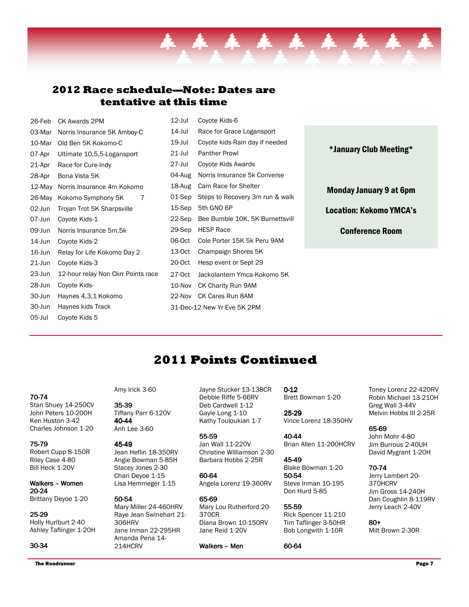### 2012 Race schedule—Note: Dates are tentative at this time

| 26-Feb    | CK Awards 2PM                      | 12-Jul    | Coyote Kids-6                   |                                |
|-----------|------------------------------------|-----------|---------------------------------|--------------------------------|
| 03-Mar    | Norris Insurance 5K Amboy-C        | $14$ -Jul | Race for Grace Logansport       |                                |
| 10-Mar    | Old Ben 5K Kokomo-C                | 19-Jul    | Coyote kids-Rain day if needed  |                                |
| 07-Apr    | Ultimate 10,5,5-Logansport         | $21$ -Jul | <b>Panther Prowl</b>            | *January Club Meeting*         |
| 21-Apr    | Race for Cure-Indy                 | 27-Jul    | Coyote Kids Awards              |                                |
| 28-Apr    | Bona Vista 5K                      | 04-Aug    | Norris Insurance 5k Converse    |                                |
| 12-May    | Norris Insurance 4m Kokomo         | 18-Aug    | Cam Race for Shelter            | <b>Monday January 9 at 6pm</b> |
| 26-May    | Kokomo Symphony 5K<br>7            | 01-Sep    | Steps to Recovery 3m run & walk |                                |
| 02-Jun    | Trojan Trot 5K Sharpsville         | 15-Sep    | 5th GNO 6P                      | <b>Location: Kokomo YMCA's</b> |
| 07-Jun    | Coyote Kids-1                      | 22-Sep    | Bee Bumble 10K, 5K Burnettsvill |                                |
| 09-Jun    | Norris Insurance 5m, 5k            | 29-Sep    | <b>HESP Race</b>                | <b>Conference Room</b>         |
| 14-Jun    | Coyote Kids-2                      | 06-Oct    | Cole Porter 15K 5k Peru 9AM     |                                |
| 16-Jun    | Relay for Life Kokomo Day 2        | 13-Oct    | Champaign Shores 5K             |                                |
| $21$ -Jun | Coyote Kids-3                      | 20-0ct    | Hesp event or Sept 29           |                                |
| 23-Jun    | 12-hour relay Non Ckrr Points race | 27-0ct    | Jackolantern Ymca-Kokomo 5K     |                                |
| 28-Jun    | Coyote Kids-                       | 10-Nov    | <b>CK Charity Run 9AM</b>       |                                |
| 30-Jun    | Haynes 4,3,1 Kokomo                |           | 22-Nov CK Cares Run 8AM         |                                |
| 30-Jun    | Haynes kids Track                  |           | 31-Dec-12 New Yr Eve 5K 2PM     |                                |
| 05-Jul    | Coyote Kids 5                      |           |                                 |                                |

# 2011 Points Continued

70-74

Stan Shuey 14-250CV John Peters 10-200H Ken Huston 3-42 Charles Johnson 1-20

#### 75-79

Robert Cupp 8-150R Riley Case 4-80 Bill Heck 1-20V

Walkers - Women 20-24 Brittany Deyoe 1-20

### 25-29

Holly Hurlburt 2-40 Ashley Taflinger 1-20H

#### 30-34

Amy Irick 3-60

35-39 Tiffany Parr 6-120V 40-44 Anh Lee 3-60

#### 45-49

Jean Heflin 18-350RV Angie Bowman 5-85H Stacey Jones 2-30 Chari Deyoe 1-15 Lisa Hemmeger 1-15

#### 50-54

Mary Miller 24-460HRV Raye Jean Swinehart 21- 306HRV Jane Inman 22-295HR Amanda Pena 14- 214HCRV

Jayne Stucker 13-138CR Debbie Riffe 5-66RV Deb Cardwell 1-12 Gayle Long 1-10 Kathy Touloukian 1-7

55-59 Jan Wall 11-220V Christine Williamson 2-30 Barbara Hobbs 2-25R

60-64 Angela Lorenz 19-360RV

65-69 Mary Lou Rutherford 20- 370CR Diana Brown 10-150RV Jane Reid 1-20V

Walkers – Men

0-12 Brett Bowman 1-20

25-29 Vince Lorenz 18-350HV

40-44 Brian Allen 11-200HCRV

45-49 Blake Bowman 1-20 50-54 Steve Inman 10-195 Don Hurd 5-85

55-59 Rick Spencer 11-210 Tim Taflinger 3-50HR Bob Longwith 1-10R

60-64

Toney Lorenz 22-420RV Robin Michael 13-210H Greg Wall 3-44V Melvin Hobbs III 2-25R

65-69 John Mohr 4-80 Jim Burrous 2-40UH David Mygrant 1-20H

#### 70-74

Jerry Lambert 20- 370HCRV Jim Gross 14-240H Dan Coughlin 8-119RV Jerry Leach 2-40V

80+ Milt Brown 2-30R